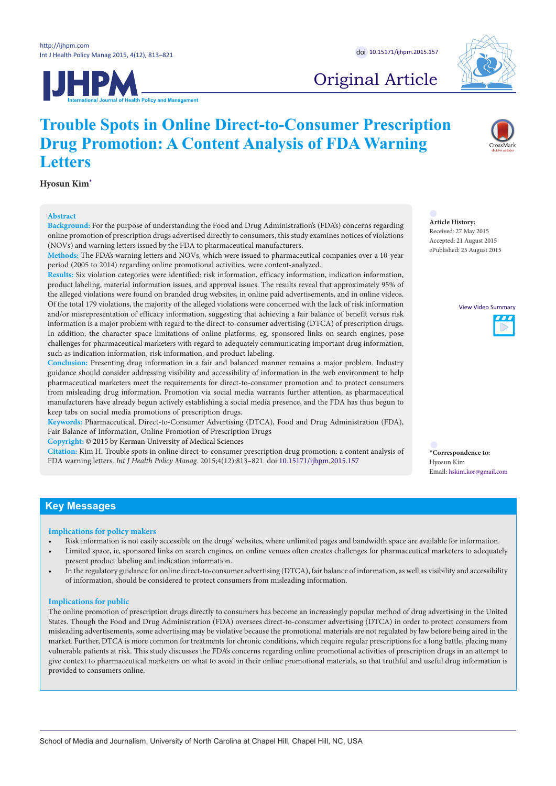**UHPM** 



# Original Article

# **Trouble Spots in Online Direct-to-Consumer Prescription Drug Promotion: A Content Analysis of FDA Warning Letters**

**Hyosun Kim[\\*](#page-0-0)**

#### **Abstract**

**Background:** For the purpose of understanding the Food and Drug Administration's (FDA's) concerns regarding online promotion of prescription drugs advertised directly to consumers, this study examines notices of violations (NOVs) and warning letters issued by the FDA to pharmaceutical manufacturers.

**Methods:** The FDA's warning letters and NOVs, which were issued to pharmaceutical companies over a 10-year period (2005 to 2014) regarding online promotional activities, were content-analyzed.

**Results:** Six violation categories were identified: risk information, efficacy information, indication information, product labeling, material information issues, and approval issues. The results reveal that approximately 95% of the alleged violations were found on branded drug websites, in online paid advertisements, and in online videos. Of the total 179 violations, the majority of the alleged violations were concerned with the lack of risk information and/or misrepresentation of efficacy information, suggesting that achieving a fair balance of benefit versus risk information is a major problem with regard to the direct-to-consumer advertising (DTCA) of prescription drugs. In addition, the character space limitations of online platforms, eg, sponsored links on search engines, pose challenges for pharmaceutical marketers with regard to adequately communicating important drug information, such as indication information, risk information, and product labeling.

**Conclusion:** Presenting drug information in a fair and balanced manner remains a major problem. Industry guidance should consider addressing visibility and accessibility of information in the web environment to help pharmaceutical marketers meet the requirements for direct-to-consumer promotion and to protect consumers from misleading drug information. Promotion via social media warrants further attention, as pharmaceutical manufacturers have already begun actively establishing a social media presence, and the FDA has thus begun to keep tabs on social media promotions of prescription drugs.

**Keywords:** Pharmaceutical, Direct-to-Consumer Advertising (DTCA), Food and Drug Administration (FDA), Fair Balance of Information, Online Promotion of Prescription Drugs

**Copyright:** © 2015 by Kerman University of Medical Sciences

**Citation:** Kim H. Trouble spots in online direct-to-consumer prescription drug promotion: a content analysis of FDA warning letters. *Int J Health Policy Manag.* 2015;4(12):813–821. doi:[10.15171/ijhpm.2015.157](http://dx.doi.org/10.15171/ijhpm.2015.157)

**Article History:** Received: 27 May 2015 Accepted: 21 August 2015 ePublished: 25 August 2015

View Video Summary



<span id="page-0-0"></span>**\*Correspondence to:** Hyosun Kim Email: hskim.kor@gmail.com

## **Key Messages**

#### **Implications for policy makers**

- Risk information is not easily accessible on the drugs' websites, where unlimited pages and bandwidth space are available for information.
- Limited space, ie, sponsored links on search engines, on online venues often creates challenges for pharmaceutical marketers to adequately present product labeling and indication information.
- In the regulatory guidance for online direct-to-consumer advertising (DTCA), fair balance of information, as well as visibility and accessibility of information, should be considered to protect consumers from misleading information.

## **Implications for public**

The online promotion of prescription drugs directly to consumers has become an increasingly popular method of drug advertising in the United States. Though the Food and Drug Administration (FDA) oversees direct-to-consumer advertising (DTCA) in order to protect consumers from misleading advertisements, some advertising may be violative because the promotional materials are not regulated by law before being aired in the market. Further, DTCA is more common for treatments for chronic conditions, which require regular prescriptions for a long battle, placing many vulnerable patients at risk. This study discusses the FDA's concerns regarding online promotional activities of prescription drugs in an attempt to give context to pharmaceutical marketers on what to avoid in their online promotional materials, so that truthful and useful drug information is provided to consumers online.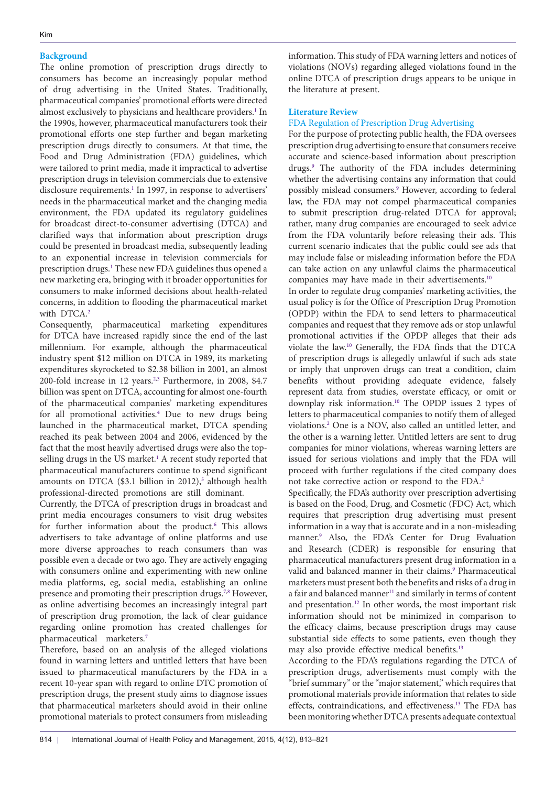## **Background**

The online promotion of prescription drugs directly to consumers has become an increasingly popular method of drug advertising in the United States. Traditionally, pharmaceutical companies' promotional efforts were directed almost exclusively to physicians and healthcare providers.<sup>1</sup> In the 1990s, however, pharmaceutical manufacturers took their promotional efforts one step further and began marketing prescription drugs directly to consumers. At that time, the Food and Drug Administration (FDA) guidelines, which were tailored to print media, made it impractical to advertise prescription drugs in television commercials due to extensive disclosure requirements.<sup>[1](#page-7-0)</sup> In 1997, in response to advertisers' needs in the pharmaceutical market and the changing media environment, the FDA updated its regulatory guidelines for broadcast direct-to-consumer advertising (DTCA) and clarified ways that information about prescription drugs could be presented in broadcast media, subsequently leading to an exponential increase in television commercials for prescription drugs.<sup>1</sup> These new FDA guidelines thus opened a new marketing era, bringing with it broader opportunities for consumers to make informed decisions about health-related concerns, in addition to flooding the pharmaceutical market with DTCA.<sup>[2](#page-7-1)</sup>

Consequently, pharmaceutical marketing expenditures for DTCA have increased rapidly since the end of the last millennium. For example, although the pharmaceutical industry spent \$12 million on DTCA in 1989, its marketing expenditures skyrocketed to \$2.38 billion in 2001, an almost 200-fold increase in 12 years.<sup>2[,3](#page-7-2)</sup> Furthermore, in 2008, \$4.7 billion was spent on DTCA, accounting for almost one-fourth of the pharmaceutical companies' marketing expenditures for all promotional activities[.4](#page-7-3) Due to new drugs being launched in the pharmaceutical market, DTCA spending reached its peak between 2004 and 2006, evidenced by the fact that the most heavily advertised drugs were also the topselling drugs in the US market.<sup>1</sup> A recent study reported that pharmaceutical manufacturers continue to spend significant amounts on DTCA (\$3.1 billion in  $2012$ ),<sup>[5](#page-8-0)</sup> although health professional-directed promotions are still dominant.

Currently, the DTCA of prescription drugs in broadcast and print media encourages consumers to visit drug websites for further information about the product.<sup>6</sup> This allows advertisers to take advantage of online platforms and use more diverse approaches to reach consumers than was possible even a decade or two ago. They are actively engaging with consumers online and experimenting with new online media platforms, eg, social media, establishing an online presence and promoting their prescription drugs.<sup>7[,8](#page-8-3)</sup> However, as online advertising becomes an increasingly integral part of prescription drug promotion, the lack of clear guidance regarding online promotion has created challenges for pharmaceutical marketers[.7](#page-8-2)

Therefore, based on an analysis of the alleged violations found in warning letters and untitled letters that have been issued to pharmaceutical manufacturers by the FDA in a recent 10-year span with regard to online DTC promotion of prescription drugs, the present study aims to diagnose issues that pharmaceutical marketers should avoid in their online promotional materials to protect consumers from misleading

information. This study of FDA warning letters and notices of violations (NOVs) regarding alleged violations found in the online DTCA of prescription drugs appears to be unique in the literature at present.

## **Literature Review**

#### FDA Regulation of Prescription Drug Advertising

For the purpose of protecting public health, the FDA oversees prescription drug advertising to ensure that consumers receive accurate and science-based information about prescription drugs.[9](#page-8-4) The authority of the FDA includes determining whether the advertising contains any information that could possibly mislead consumers.<sup>9</sup> However, according to federal law, the FDA may not compel pharmaceutical companies to submit prescription drug-related DTCA for approval; rather, many drug companies are encouraged to seek advice from the FDA voluntarily before releasing their ads. This current scenario indicates that the public could see ads that may include false or misleading information before the FDA can take action on any unlawful claims the pharmaceutical companies may have made in their advertisements.<sup>10</sup>

In order to regulate drug companies' marketing activities, the usual policy is for the Office of Prescription Drug Promotion (OPDP) within the FDA to send letters to pharmaceutical companies and request that they remove ads or stop unlawful promotional activities if the OPDP alleges that their ads violate the law[.10](#page-8-5) Generally, the FDA finds that the DTCA of prescription drugs is allegedly unlawful if such ads state or imply that unproven drugs can treat a condition, claim benefits without providing adequate evidence, falsely represent data from studies, overstate efficacy, or omit or downplay risk information[.10](#page-8-5) The OPDP issues 2 types of letters to pharmaceutical companies to notify them of alleged violations[.2](#page-7-1) One is a NOV, also called an untitled letter, and the other is a warning letter. Untitled letters are sent to drug companies for minor violations, whereas warning letters are issued for serious violations and imply that the FDA will proceed with further regulations if the cited company does not take corrective action or respond to the FDA[.2](#page-7-1)

Specifically, the FDA's authority over prescription advertising is based on the Food, Drug, and Cosmetic (FDC) Act, which requires that prescription drug advertising must present information in a way that is accurate and in a non-misleading manner.[9](#page-8-4) Also, the FDA's Center for Drug Evaluation and Research (CDER) is responsible for ensuring that pharmaceutical manufacturers present drug information in a valid and balanced manner in their claims.<sup>[9](#page-8-4)</sup> Pharmaceutical marketers must present both the benefits and risks of a drug in a fair and balanced manner<sup>[11](#page-8-6)</sup> and similarly in terms of content and presentation[.12](#page-8-7) In other words, the most important risk information should not be minimized in comparison to the efficacy claims, because prescription drugs may cause substantial side effects to some patients, even though they may also provide effective medical benefits.<sup>[13](#page-8-8)</sup>

According to the FDA's regulations regarding the DTCA of prescription drugs, advertisements must comply with the "brief summary" or the "major statement," which requires that promotional materials provide information that relates to side effects, contraindications, and effectiveness.[13](#page-8-8) The FDA has been monitoring whether DTCA presents adequate contextual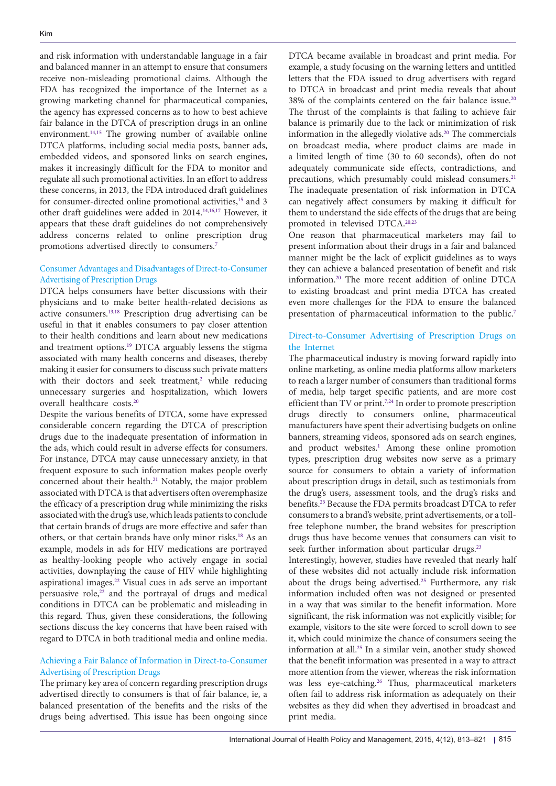and risk information with understandable language in a fair and balanced manner in an attempt to ensure that consumers receive non-misleading promotional claims. Although the FDA has recognized the importance of the Internet as a growing marketing channel for pharmaceutical companies, the agency has expressed concerns as to how to best achieve fair balance in the DTCA of prescription drugs in an online environment.<sup>14,15</sup> The growing number of available online DTCA platforms, including social media posts, banner ads, embedded videos, and sponsored links on search engines, makes it increasingly difficult for the FDA to monitor and regulate all such promotional activities. In an effort to address these concerns, in 2013, the FDA introduced draft guidelines for consumer-directed online promotional activities,<sup>[15](#page-8-10)</sup> and 3 other draft guidelines were added in 2014.[14,](#page-8-9)[16](#page-8-11),[17](#page-8-12) However, it appears that these draft guidelines do not comprehensively address concerns related to online prescription drug promotions advertised directly to consumers[.7](#page-8-2)

## Consumer Advantages and Disadvantages of Direct-to-Consumer Advertising of Prescription Drugs

DTCA helps consumers have better discussions with their physicians and to make better health-related decisions as active consumers.[13](#page-8-8),[18](#page-8-13) Prescription drug advertising can be useful in that it enables consumers to pay closer attention to their health conditions and learn about new medications and treatment options.[19](#page-8-14) DTCA arguably lessens the stigma associated with many health concerns and diseases, thereby making it easier for consumers to discuss such private matters with their doctors and seek treatment,<sup>[2](#page-7-1)</sup> while reducing unnecessary surgeries and hospitalization, which lowers overall healthcare costs.[20](#page-8-15)

Despite the various benefits of DTCA, some have expressed considerable concern regarding the DTCA of prescription drugs due to the inadequate presentation of information in the ads, which could result in adverse effects for consumers. For instance, DTCA may cause unnecessary anxiety, in that frequent exposure to such information makes people overly concerned about their health.<sup>[21](#page-8-16)</sup> Notably, the major problem associated with DTCA is that advertisers often overemphasize the efficacy of a prescription drug while minimizing the risks associated with the drug's use, which leads patients to conclude that certain brands of drugs are more effective and safer than others, or that certain brands have only minor risks.[18](#page-8-13) As an example, models in ads for HIV medications are portrayed as healthy-looking people who actively engage in social activities, downplaying the cause of HIV while highlighting aspirational images.[22](#page-8-17) Visual cues in ads serve an important persuasive role, $2<sup>2</sup>$  and the portrayal of drugs and medical conditions in DTCA can be problematic and misleading in this regard. Thus, given these considerations, the following sections discuss the key concerns that have been raised with regard to DTCA in both traditional media and online media.

## Achieving a Fair Balance of Information in Direct-to-Consumer Advertising of Prescription Drugs

The primary key area of concern regarding prescription drugs advertised directly to consumers is that of fair balance, ie, a balanced presentation of the benefits and the risks of the drugs being advertised. This issue has been ongoing since

DTCA became available in broadcast and print media. For example, a study focusing on the warning letters and untitled letters that the FDA issued to drug advertisers with regard to DTCA in broadcast and print media reveals that about 38% of the complaints centered on the fair balance issue.<sup>20</sup> The thrust of the complaints is that failing to achieve fair balance is primarily due to the lack or minimization of risk information in the allegedly violative ads.<sup>20</sup> The commercials on broadcast media, where product claims are made in a limited length of time (30 to 60 seconds), often do not adequately communicate side effects, contradictions, and precautions, which presumably could mislead consumers.<sup>21</sup> The inadequate presentation of risk information in DTCA can negatively affect consumers by making it difficult for them to understand the side effects of the drugs that are being promoted in televised DTCA.<sup>[20,](#page-8-15)[23](#page-8-18)</sup>

One reason that pharmaceutical marketers may fail to present information about their drugs in a fair and balanced manner might be the lack of explicit guidelines as to ways they can achieve a balanced presentation of benefit and risk information.[20](#page-8-15) The more recent addition of online DTCA to existing broadcast and print media DTCA has created even more challenges for the FDA to ensure the balanced presentation of pharmaceutical information to the public.<sup>[7](#page-8-2)</sup>

## Direct-to-Consumer Advertising of Prescription Drugs on the Internet

The pharmaceutical industry is moving forward rapidly into online marketing, as online media platforms allow marketers to reach a larger number of consumers than traditional forms of media, help target specific patients, and are more cost efficient than TV or print.<sup>[7,](#page-8-2)24</sup> In order to promote prescription drugs directly to consumers online, pharmaceutical manufacturers have spent their advertising budgets on online banners, streaming videos, sponsored ads on search engines, and product websites.<sup>1</sup> Among these online promotion types, prescription drug websites now serve as a primary source for consumers to obtain a variety of information about prescription drugs in detail, such as testimonials from the drug's users, assessment tools, and the drug's risks and benefits.[25](#page-8-20) Because the FDA permits broadcast DTCA to refer consumers to a brand's website, print advertisements, or a tollfree telephone number, the brand websites for prescription drugs thus have become venues that consumers can visit to seek further information about particular drugs.<sup>23</sup>

Interestingly, however, studies have revealed that nearly half of these websites did not actually include risk information about the drugs being advertised.<sup>[25](#page-8-20)</sup> Furthermore, any risk information included often was not designed or presented in a way that was similar to the benefit information. More significant, the risk information was not explicitly visible; for example, visitors to the site were forced to scroll down to see it, which could minimize the chance of consumers seeing the information at all[.25](#page-8-20) In a similar vein, another study showed that the benefit information was presented in a way to attract more attention from the viewer, whereas the risk information was less eye-catching.<sup>[26](#page-8-21)</sup> Thus, pharmaceutical marketers often fail to address risk information as adequately on their websites as they did when they advertised in broadcast and print media.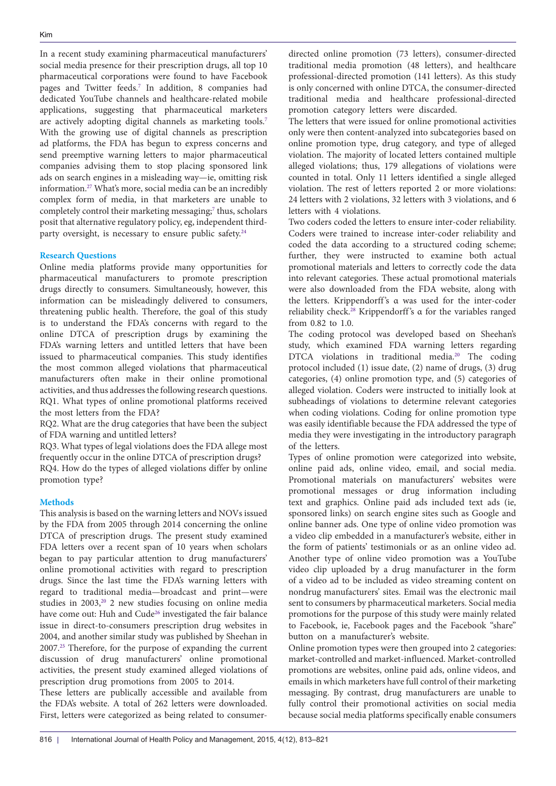In a recent study examining pharmaceutical manufacturers' social media presence for their prescription drugs, all top 10 pharmaceutical corporations were found to have Facebook pages and Twitter feeds.[7](#page-8-2) In addition, 8 companies had dedicated YouTube channels and healthcare-related mobile applications, suggesting that pharmaceutical marketers are actively adopting digital channels as marketing tools.[7](#page-8-2) With the growing use of digital channels as prescription ad platforms, the FDA has begun to express concerns and send preemptive warning letters to major pharmaceutical companies advising them to stop placing sponsored link ads on search engines in a misleading way—ie, omitting risk information[.27](#page-8-22) What's more, social media can be an incredibly complex form of media, in that marketers are unable to completely control their marketing messaging;<sup>7</sup> thus, scholars posit that alternative regulatory policy, eg, independent thirdparty oversight, is necessary to ensure public safety.<sup>24</sup>

### **Research Questions**

Online media platforms provide many opportunities for pharmaceutical manufacturers to promote prescription drugs directly to consumers. Simultaneously, however, this information can be misleadingly delivered to consumers, threatening public health. Therefore, the goal of this study is to understand the FDA's concerns with regard to the online DTCA of prescription drugs by examining the FDA's warning letters and untitled letters that have been issued to pharmaceutical companies. This study identifies the most common alleged violations that pharmaceutical manufacturers often make in their online promotional activities, and thus addresses the following research questions. RQ1. What types of online promotional platforms received the most letters from the FDA?

RQ2. What are the drug categories that have been the subject of FDA warning and untitled letters?

RQ3. What types of legal violations does the FDA allege most frequently occur in the online DTCA of prescription drugs?

RQ4. How do the types of alleged violations differ by online promotion type?

## **Methods**

This analysis is based on the warning letters and NOVs issued by the FDA from 2005 through 2014 concerning the online DTCA of prescription drugs. The present study examined FDA letters over a recent span of 10 years when scholars began to pay particular attention to drug manufacturers' online promotional activities with regard to prescription drugs. Since the last time the FDA's warning letters with regard to traditional media—broadcast and print—were studies in 2003,<sup>20</sup> 2 new studies focusing on online media have come out: Huh and Cude<sup>[26](#page-8-21)</sup> investigated the fair balance issue in direct-to-consumers prescription drug websites in 2004, and another similar study was published by Sheehan in 2007.[25](#page-8-20) Therefore, for the purpose of expanding the current discussion of drug manufacturers' online promotional activities, the present study examined alleged violations of prescription drug promotions from 2005 to 2014.

These letters are publically accessible and available from the FDA's website. A total of 262 letters were downloaded. First, letters were categorized as being related to consumer-

directed online promotion (73 letters), consumer-directed traditional media promotion (48 letters), and healthcare professional-directed promotion (141 letters). As this study is only concerned with online DTCA, the consumer-directed traditional media and healthcare professional-directed promotion category letters were discarded.

The letters that were issued for online promotional activities only were then content-analyzed into subcategories based on online promotion type, drug category, and type of alleged violation. The majority of located letters contained multiple alleged violations; thus, 179 allegations of violations were counted in total. Only 11 letters identified a single alleged violation. The rest of letters reported 2 or more violations: 24 letters with 2 violations, 32 letters with 3 violations, and 6 letters with 4 violations.

Two coders coded the letters to ensure inter-coder reliability. Coders were trained to increase inter-coder reliability and coded the data according to a structured coding scheme; further, they were instructed to examine both actual promotional materials and letters to correctly code the data into relevant categories. These actual promotional materials were also downloaded from the FDA website, along with the letters. Krippendorff 's α was used for the inter-coder reliability check.<sup>28</sup> Krippendorff's α for the variables ranged from 0.82 to 1.0.

The coding protocol was developed based on Sheehan's study, which examined FDA warning letters regarding DTCA violations in traditional media.[20](#page-8-15) The coding protocol included (1) issue date, (2) name of drugs, (3) drug categories, (4) online promotion type, and (5) categories of alleged violation. Coders were instructed to initially look at subheadings of violations to determine relevant categories when coding violations. Coding for online promotion type was easily identifiable because the FDA addressed the type of media they were investigating in the introductory paragraph of the letters.

Types of online promotion were categorized into website, online paid ads, online video, email, and social media. Promotional materials on manufacturers' websites were promotional messages or drug information including text and graphics. Online paid ads included text ads (ie, sponsored links) on search engine sites such as Google and online banner ads. One type of online video promotion was a video clip embedded in a manufacturer's website, either in the form of patients' testimonials or as an online video ad. Another type of online video promotion was a YouTube video clip uploaded by a drug manufacturer in the form of a video ad to be included as video streaming content on nondrug manufacturers' sites. Email was the electronic mail sent to consumers by pharmaceutical marketers. Social media promotions for the purpose of this study were mainly related to Facebook, ie, Facebook pages and the Facebook "share" button on a manufacturer's website.

Online promotion types were then grouped into 2 categories: market-controlled and market-influenced. Market-controlled promotions are websites, online paid ads, online videos, and emails in which marketers have full control of their marketing messaging. By contrast, drug manufacturers are unable to fully control their promotional activities on social media because social media platforms specifically enable consumers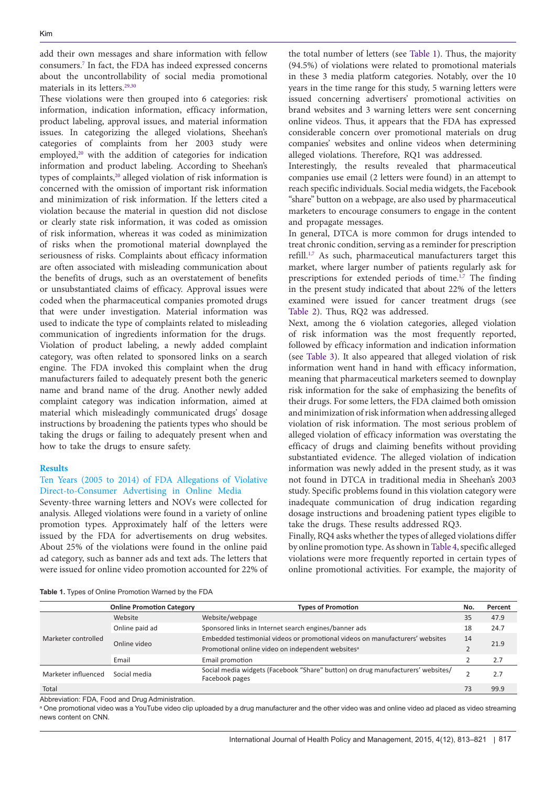add their own messages and share information with fellow consumers[.7](#page-8-2) In fact, the FDA has indeed expressed concerns about the uncontrollability of social media promotional materials in its letters.<sup>29,[30](#page-8-25)</sup>

These violations were then grouped into 6 categories: risk information, indication information, efficacy information, product labeling, approval issues, and material information issues. In categorizing the alleged violations, Sheehan's categories of complaints from her 2003 study were employed,<sup>[20](#page-8-15)</sup> with the addition of categories for indication information and product labeling. According to Sheehan's types of complaints,<sup>20</sup> alleged violation of risk information is concerned with the omission of important risk information and minimization of risk information. If the letters cited a violation because the material in question did not disclose or clearly state risk information, it was coded as omission of risk information, whereas it was coded as minimization of risks when the promotional material downplayed the seriousness of risks. Complaints about efficacy information are often associated with misleading communication about the benefits of drugs, such as an overstatement of benefits or unsubstantiated claims of efficacy. Approval issues were coded when the pharmaceutical companies promoted drugs that were under investigation. Material information was used to indicate the type of complaints related to misleading communication of ingredients information for the drugs. Violation of product labeling, a newly added complaint category, was often related to sponsored links on a search engine. The FDA invoked this complaint when the drug manufacturers failed to adequately present both the generic name and brand name of the drug. Another newly added complaint category was indication information, aimed at material which misleadingly communicated drugs' dosage instructions by broadening the patients types who should be taking the drugs or failing to adequately present when and how to take the drugs to ensure safety.

#### **Results**

## Ten Years (2005 to 2014) of FDA Allegations of Violative Direct-to-Consumer Advertising in Online Media

Seventy-three warning letters and NOVs were collected for analysis. Alleged violations were found in a variety of online promotion types. Approximately half of the letters were issued by the FDA for advertisements on drug websites. About 25% of the violations were found in the online paid ad category, such as banner ads and text ads. The letters that were issued for online video promotion accounted for 22% of

the total number of letters (see [Table 1](#page-4-0)). Thus, the majority (94.5%) of violations were related to promotional materials in these 3 media platform categories. Notably, over the 10 years in the time range for this study, 5 warning letters were issued concerning advertisers' promotional activities on brand websites and 3 warning letters were sent concerning online videos. Thus, it appears that the FDA has expressed considerable concern over promotional materials on drug companies' websites and online videos when determining alleged violations. Therefore, RQ1 was addressed.

Interestingly, the results revealed that pharmaceutical companies use email (2 letters were found) in an attempt to reach specific individuals. Social media widgets, the Facebook "share" button on a webpage, are also used by pharmaceutical marketers to encourage consumers to engage in the content and propagate messages.

In general, DTCA is more common for drugs intended to treat chronic condition, serving as a reminder for prescription refill.<sup>[1,](#page-7-0)[7](#page-8-2)</sup> As such, pharmaceutical manufacturers target this market, where larger number of patients regularly ask for prescriptions for extended periods of time.<sup>1,[7](#page-8-2)</sup> The finding in the present study indicated that about 22% of the letters examined were issued for cancer treatment drugs (see [Table 2](#page-5-0)). Thus, RQ2 was addressed.

Next, among the 6 violation categories, alleged violation of risk information was the most frequently reported, followed by efficacy information and indication information (see [Table 3](#page-5-1)). It also appeared that alleged violation of risk information went hand in hand with efficacy information, meaning that pharmaceutical marketers seemed to downplay risk information for the sake of emphasizing the benefits of their drugs. For some letters, the FDA claimed both omission and minimization of risk information when addressing alleged violation of risk information. The most serious problem of alleged violation of efficacy information was overstating the efficacy of drugs and claiming benefits without providing substantiated evidence. The alleged violation of indication information was newly added in the present study, as it was not found in DTCA in traditional media in Sheehan's 2003 study. Specific problems found in this violation category were inadequate communication of drug indication regarding dosage instructions and broadening patient types eligible to take the drugs. These results addressed RQ3.

Finally, RQ4 asks whether the types of alleged violations differ by online promotion type. As shown in [Table 4](#page-6-0), specific alleged violations were more frequently reported in certain types of online promotional activities. For example, the majority of

<span id="page-4-0"></span>**Table 1.** Types of Online Promotion Warned by the FDA

|                                                                                                                                                                                                                                                                               | <b>Online Promotion Category</b> | <b>Types of Promotion</b>                                                       | No.  | Percent |
|-------------------------------------------------------------------------------------------------------------------------------------------------------------------------------------------------------------------------------------------------------------------------------|----------------------------------|---------------------------------------------------------------------------------|------|---------|
|                                                                                                                                                                                                                                                                               | Website                          | Website/webpage                                                                 | 35   | 47.9    |
| Sponsored links in Internet search engines/banner ads<br>Online paid ad<br>Marketer controlled<br>Online video<br>Promotional online video on independent websites <sup>a</sup><br>Email<br>Email promotion<br>Marketer influenced<br>Social media<br>Facebook pages<br>Total |                                  | 18                                                                              | 24.7 |         |
|                                                                                                                                                                                                                                                                               |                                  | Embedded testimonial videos or promotional videos on manufacturers' websites    |      | 21.9    |
|                                                                                                                                                                                                                                                                               |                                  |                                                                                 |      |         |
|                                                                                                                                                                                                                                                                               |                                  | 2.7                                                                             |      |         |
|                                                                                                                                                                                                                                                                               |                                  | Social media widgets (Facebook "Share" button) on drug manufacturers' websites/ |      | 2.7     |
|                                                                                                                                                                                                                                                                               |                                  |                                                                                 | 73   | 99.9    |

Abbreviation: FDA, Food and Drug Administration.

a One promotional video was a YouTube video clip uploaded by a drug manufacturer and the other video was and online video ad placed as video streaming news content on CNN.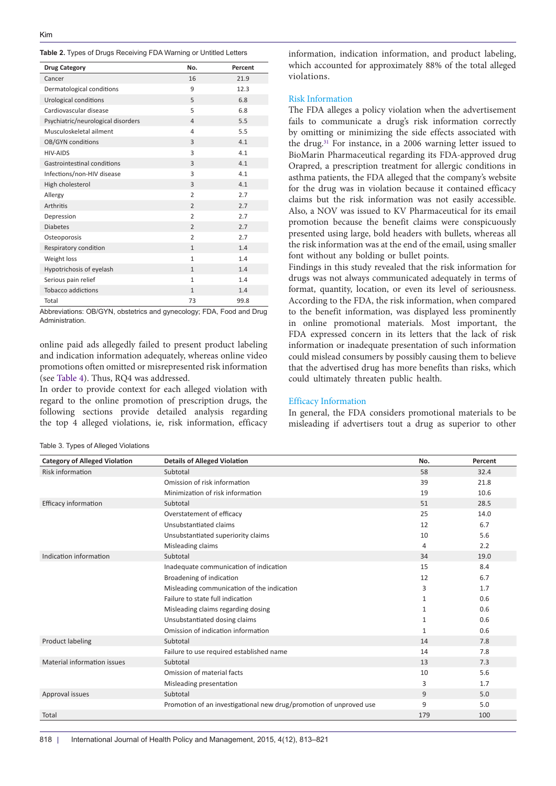<span id="page-5-0"></span>

|  |  |  | Table 2. Types of Drugs Receiving FDA Warning or Untitled Letters |  |  |  |  |  |
|--|--|--|-------------------------------------------------------------------|--|--|--|--|--|
|--|--|--|-------------------------------------------------------------------|--|--|--|--|--|

| <b>Drug Category</b>               | No.            | Percent |
|------------------------------------|----------------|---------|
| Cancer                             | 16             | 21.9    |
| Dermatological conditions          | 9              | 12.3    |
| Urological conditions              | 5              | 6.8     |
| Cardiovascular disease             | 5              | 6.8     |
| Psychiatric/neurological disorders | $\overline{a}$ | 5.5     |
| Musculoskeletal ailment            | 4              | 5.5     |
| OB/GYN conditions                  | 3              | 4.1     |
| HIV-AIDS                           | 3              | 4.1     |
| Gastrointestinal conditions        | 3              | 4.1     |
| Infections/non-HIV disease         | 3              | 4.1     |
| High cholesterol                   | 3              | 4.1     |
| Allergy                            | $\overline{2}$ | 2.7     |
| <b>Arthritis</b>                   | $\overline{2}$ | 2.7     |
| Depression                         | $\overline{2}$ | 2.7     |
| <b>Diabetes</b>                    | $\overline{2}$ | 2.7     |
| Osteoporosis                       | $\overline{2}$ | 2.7     |
| Respiratory condition              | $\mathbf{1}$   | 1.4     |
| Weight loss                        | $\mathbf{1}$   | 1.4     |
| Hypotrichosis of eyelash           | $\mathbf{1}$   | 1.4     |
| Serious pain relief                | $\mathbf{1}$   | 1.4     |
| <b>Tobacco addictions</b>          | $\mathbf{1}$   | 1.4     |
| Total                              | 73             | 99.8    |

Abbreviations: OB/GYN, obstetrics and gynecology; FDA, Food and Drug Administration.

online paid ads allegedly failed to present product labeling and indication information adequately, whereas online video promotions often omitted or misrepresented risk information (see [Table 4\)](#page-6-0). Thus, RQ4 was addressed.

In order to provide context for each alleged violation with regard to the online promotion of prescription drugs, the following sections provide detailed analysis regarding the top 4 alleged violations, ie, risk information, efficacy

<span id="page-5-1"></span>Table 3. Types of Alleged Violations

information, indication information, and product labeling, which accounted for approximately 88% of the total alleged violations.

### Risk Information

The FDA alleges a policy violation when the advertisement fails to communicate a drug's risk information correctly by omitting or minimizing the side effects associated with the drug.[31](#page-8-26) For instance, in a 2006 warning letter issued to BioMarin Pharmaceutical regarding its FDA-approved drug Orapred, a prescription treatment for allergic conditions in asthma patients, the FDA alleged that the company's website for the drug was in violation because it contained efficacy claims but the risk information was not easily accessible. Also, a NOV was issued to KV Pharmaceutical for its email promotion because the benefit claims were conspicuously presented using large, bold headers with bullets, whereas all the risk information was at the end of the email, using smaller font without any bolding or bullet points.

Findings in this study revealed that the risk information for drugs was not always communicated adequately in terms of format, quantity, location, or even its level of seriousness. According to the FDA, the risk information, when compared to the benefit information, was displayed less prominently in online promotional materials. Most important, the FDA expressed concern in its letters that the lack of risk information or inadequate presentation of such information could mislead consumers by possibly causing them to believe that the advertised drug has more benefits than risks, which could ultimately threaten public health.

### Efficacy Information

In general, the FDA considers promotional materials to be misleading if advertisers tout a drug as superior to other

| <b>Category of Alleged Violation</b> | <b>Details of Alleged Violation</b>                                | No.          | Percent |
|--------------------------------------|--------------------------------------------------------------------|--------------|---------|
| Risk information                     | Subtotal                                                           | 58           | 32.4    |
|                                      | Omission of risk information                                       | 39           | 21.8    |
|                                      | Minimization of risk information                                   | 19           | 10.6    |
| Efficacy information                 | Subtotal                                                           | 51           | 28.5    |
|                                      | Overstatement of efficacy                                          | 25           | 14.0    |
|                                      | Unsubstantiated claims                                             | 12           | 6.7     |
|                                      | Unsubstantiated superiority claims                                 | 10           | 5.6     |
|                                      | Misleading claims                                                  | 4            | 2.2     |
| Indication information               | Subtotal                                                           | 34           | 19.0    |
|                                      | Inadequate communication of indication                             | 15           | 8.4     |
|                                      | Broadening of indication                                           | 12           | 6.7     |
|                                      | Misleading communication of the indication                         | 3            | 1.7     |
|                                      | Failure to state full indication                                   | $\mathbf{1}$ | 0.6     |
|                                      | Misleading claims regarding dosing                                 | 1            | 0.6     |
|                                      | Unsubstantiated dosing claims                                      | $\mathbf{1}$ | 0.6     |
|                                      | Omission of indication information                                 | $\mathbf{1}$ | 0.6     |
| Product labeling                     | Subtotal                                                           | 14           | 7.8     |
|                                      | Failure to use required established name                           | 14           | 7.8     |
| Material information issues          | Subtotal                                                           | 13           | 7.3     |
|                                      | Omission of material facts                                         | 10           | 5.6     |
|                                      | Misleading presentation                                            | 3            | 1.7     |
| Approval issues                      | Subtotal                                                           | 9            | 5.0     |
|                                      | Promotion of an investigational new drug/promotion of unproved use | 9            | 5.0     |
| Total                                |                                                                    | 179          | 100     |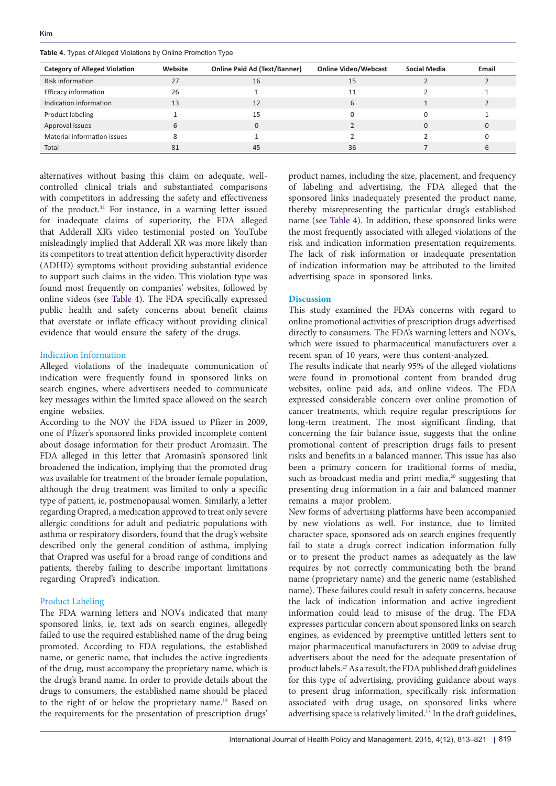<span id="page-6-0"></span>**Table 4.** Types of Alleged Violations by Online Promotion Type

| <b>Category of Alleged Violation</b> | Website | <b>Online Paid Ad (Text/Banner)</b> | <b>Online Video/Webcast</b> | <b>Social Media</b> | Email |
|--------------------------------------|---------|-------------------------------------|-----------------------------|---------------------|-------|
| Risk information                     | 27      | 16                                  | 15                          |                     |       |
| Efficacy information                 | 26      |                                     | 11                          |                     |       |
| Indication information               | 13      | 12                                  |                             |                     |       |
| Product labeling                     |         | 15                                  |                             |                     |       |
| Approval issues                      |         |                                     |                             |                     |       |
| Material information issues          |         |                                     |                             |                     |       |
| Total                                | 81      | 45                                  | 36                          |                     |       |

alternatives without basing this claim on adequate, wellcontrolled clinical trials and substantiated comparisons with competitors in addressing the safety and effectiveness of the product.[32](#page-8-27) For instance, in a warning letter issued for inadequate claims of superiority, the FDA alleged that Adderall XR's video testimonial posted on YouTube misleadingly implied that Adderall XR was more likely than its competitors to treat attention deficit hyperactivity disorder (ADHD) symptoms without providing substantial evidence to support such claims in the video. This violation type was found most frequently on companies' websites, followed by online videos (see [Table 4](#page-6-0)). The FDA specifically expressed public health and safety concerns about benefit claims that overstate or inflate efficacy without providing clinical evidence that would ensure the safety of the drugs.

## Indication Information

Alleged violations of the inadequate communication of indication were frequently found in sponsored links on search engines, where advertisers needed to communicate key messages within the limited space allowed on the search engine websites.

According to the NOV the FDA issued to Pfizer in 2009, one of Pfizer's sponsored links provided incomplete content about dosage information for their product Aromasin. The FDA alleged in this letter that Aromasin's sponsored link broadened the indication, implying that the promoted drug was available for treatment of the broader female population, although the drug treatment was limited to only a specific type of patient, ie, postmenopausal women. Similarly, a letter regarding Orapred, a medication approved to treat only severe allergic conditions for adult and pediatric populations with asthma or respiratory disorders, found that the drug's website described only the general condition of asthma, implying that Orapred was useful for a broad range of conditions and patients, thereby failing to describe important limitations regarding Orapred's indication.

## Product Labeling

The FDA warning letters and NOVs indicated that many sponsored links, ie, text ads on search engines, allegedly failed to use the required established name of the drug being promoted. According to FDA regulations, the established name, or generic name, that includes the active ingredients of the drug, must accompany the proprietary name, which is the drug's brand name. In order to provide details about the drugs to consumers, the established name should be placed to the right of or below the proprietary name[.15](#page-8-10) Based on the requirements for the presentation of prescription drugs'

product names, including the size, placement, and frequency of labeling and advertising, the FDA alleged that the sponsored links inadequately presented the product name, thereby misrepresenting the particular drug's established name (see [Table 4\)](#page-6-0). In addition, these sponsored links were the most frequently associated with alleged violations of the risk and indication information presentation requirements. The lack of risk information or inadequate presentation of indication information may be attributed to the limited advertising space in sponsored links.

## **Discussion**

This study examined the FDA's concerns with regard to online promotional activities of prescription drugs advertised directly to consumers. The FDA's warning letters and NOVs, which were issued to pharmaceutical manufacturers over a recent span of 10 years, were thus content-analyzed.

The results indicate that nearly 95% of the alleged violations were found in promotional content from branded drug websites, online paid ads, and online videos. The FDA expressed considerable concern over online promotion of cancer treatments, which require regular prescriptions for long-term treatment. The most significant finding, that concerning the fair balance issue, suggests that the online promotional content of prescription drugs fails to present risks and benefits in a balanced manner. This issue has also been a primary concern for traditional forms of media, such as broadcast media and print media,<sup>20</sup> suggesting that presenting drug information in a fair and balanced manner remains a major problem.

New forms of advertising platforms have been accompanied by new violations as well. For instance, due to limited character space, sponsored ads on search engines frequently fail to state a drug's correct indication information fully or to present the product names as adequately as the law requires by not correctly communicating both the brand name (proprietary name) and the generic name (established name). These failures could result in safety concerns, because the lack of indication information and active ingredient information could lead to misuse of the drug. The FDA expresses particular concern about sponsored links on search engines, as evidenced by preemptive untitled letters sent to major pharmaceutical manufacturers in 2009 to advise drug advertisers about the need for the adequate presentation of product labels.[27](#page-8-22) As a result, the FDA published draft guidelines for this type of advertising, providing guidance about ways to present drug information, specifically risk information associated with drug usage, on sponsored links where advertising space is relatively limited.[15](#page-8-10) In the draft guidelines,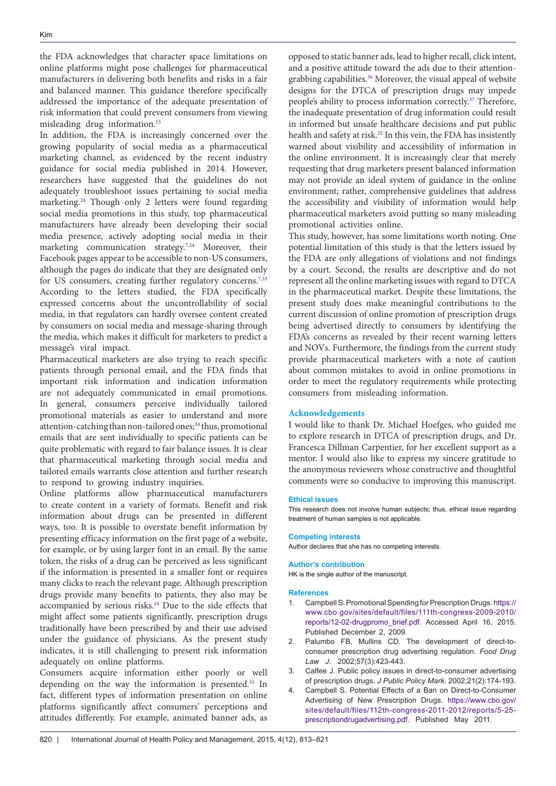the FDA acknowledges that character space limitations on online platforms might pose challenges for pharmaceutical manufacturers in delivering both benefits and risks in a fair and balanced manner. This guidance therefore specifically addressed the importance of the adequate presentation of risk information that could prevent consumers from viewing misleading drug information.[15](#page-8-10)

In addition, the FDA is increasingly concerned over the growing popularity of social media as a pharmaceutical marketing channel, as evidenced by the recent industry guidance for social media published in 2014. However, researchers have suggested that the guidelines do not adequately troubleshoot issues pertaining to social media marketing.[24](#page-8-19) Though only 2 letters were found regarding social media promotions in this study, top pharmaceutical manufacturers have already been developing their social media presence, actively adopting social media in their marketing communication strategy.<sup>[7](#page-8-2),[24](#page-8-19)</sup> Moreover, their Facebook pages appear to be accessible to non-US consumers, although the pages do indicate that they are designated only for US consumers, creating further regulatory concerns.<sup>[7](#page-8-2),[33](#page-8-28)</sup> According to the letters studied, the FDA specifically expressed concerns about the uncontrollability of social media, in that regulators can hardly oversee content created by consumers on social media and message-sharing through the media, which makes it difficult for marketers to predict a message's viral impact.

Pharmaceutical marketers are also trying to reach specific patients through personal email, and the FDA finds that important risk information and indication information are not adequately communicated in email promotions. In general, consumers perceive individually tailored promotional materials as easier to understand and more attention-catching than non-tailored ones;<sup>[34](#page-8-29)</sup> thus, promotional emails that are sent individually to specific patients can be quite problematic with regard to fair balance issues. It is clear that pharmaceutical marketing through social media and tailored emails warrants close attention and further research to respond to growing industry inquiries.

Online platforms allow pharmaceutical manufacturers to create content in a variety of formats. Benefit and risk information about drugs can be presented in different ways, too. It is possible to overstate benefit information by presenting efficacy information on the first page of a website, for example, or by using larger font in an email. By the same token, the risks of a drug can be perceived as less significant if the information is presented in a smaller font or requires many clicks to reach the relevant page. Although prescription drugs provide many benefits to patients, they also may be accompanied by serious risks.<sup>24</sup> Due to the side effects that might affect some patients significantly, prescription drugs traditionally have been prescribed by and their use advised under the guidance of physicians. As the present study indicates, it is still challenging to present risk information adequately on online platforms.

Consumers acquire information either poorly or well depending on the way the information is presented.[35](#page-8-30) In fact, different types of information presentation on online platforms significantly affect consumers' perceptions and attitudes differently. For example, animated banner ads, as

opposed to static banner ads, lead to higher recall, click intent, and a positive attitude toward the ads due to their attentiongrabbing capabilities.[36](#page-8-31) Moreover, the visual appeal of website designs for the DTCA of prescription drugs may impede people's ability to process information correctly.[37](#page-8-32) Therefore, the inadequate presentation of drug information could result in informed but unsafe healthcare decisions and put public health and safety at risk.<sup>25</sup> In this vein, the FDA has insistently warned about visibility and accessibility of information in the online environment. It is increasingly clear that merely requesting that drug marketers present balanced information may not provide an ideal system of guidance in the online environment; rather, comprehensive guidelines that address the accessibility and visibility of information would help pharmaceutical marketers avoid putting so many misleading promotional activities online.

This study, however, has some limitations worth noting. One potential limitation of this study is that the letters issued by the FDA are only allegations of violations and not findings by a court. Second, the results are descriptive and do not represent all the online marketing issues with regard to DTCA in the pharmaceutical market. Despite these limitations, the present study does make meaningful contributions to the current discussion of online promotion of prescription drugs being advertised directly to consumers by identifying the FDA's concerns as revealed by their recent warning letters and NOVs. Furthermore, the findings from the current study provide pharmaceutical marketers with a note of caution about common mistakes to avoid in online promotions in order to meet the regulatory requirements while protecting consumers from misleading information.

## **Acknowledgements**

I would like to thank Dr. Michael Hoefges, who guided me to explore research in DTCA of prescription drugs, and Dr. Francesca Dillman Carpentier, for her excellent support as a mentor. I would also like to express my sincere gratitude to the anonymous reviewers whose constructive and thoughtful comments were so conducive to improving this manuscript.

#### **Ethical issues**

This research does not involve human subjects; thus, ethical issue regarding treatment of human samples is not applicable.

#### **Competing interests**

Author declares that she has no competing interests.

#### **Author's contribution**

HK is the single author of the manuscript.

#### **References**

- <span id="page-7-0"></span>1. Campbell S. Promotional Spending for Prescription Drugs. [https://](https://www.cbo.gov/sites/default/files/111th-congress-2009-2010/reports/12-02-drugpromo_brief.pdf) [www.cbo.gov/sites/default/files/111th-congress-2009-2010/](https://www.cbo.gov/sites/default/files/111th-congress-2009-2010/reports/12-02-drugpromo_brief.pdf) [reports/12-02-drugpromo\\_brief.pdf](https://www.cbo.gov/sites/default/files/111th-congress-2009-2010/reports/12-02-drugpromo_brief.pdf). Accessed April 16, 2015. Published December 2, 2009.
- <span id="page-7-1"></span>2. Palumbo FB, Mullins CD. The development of direct-toconsumer prescription drug advertising regulation. *Food Drug Law J*. 2002;57(3):423-443.
- <span id="page-7-2"></span>3. Calfee J. Public policy issues in direct-to-consumer advertising of prescription drugs. *J Public Policy Mark*. 2002;21(2):174-193.
- <span id="page-7-3"></span>4. Campbell S. Potential Effects of a Ban on Direct-to-Consumer Advertising of New Prescription Drugs. [https://www.cbo.gov/](https://www.cbo.gov/sites/default/files/112th-congress-2011-2012/reports/5-25-prescriptiondrugadvertising.pdf) [sites/default/files/112th-congress-2011-2012/reports/5-25](https://www.cbo.gov/sites/default/files/112th-congress-2011-2012/reports/5-25-prescriptiondrugadvertising.pdf) [prescriptiondrugadvertising.pdf](https://www.cbo.gov/sites/default/files/112th-congress-2011-2012/reports/5-25-prescriptiondrugadvertising.pdf). Published May 2011.